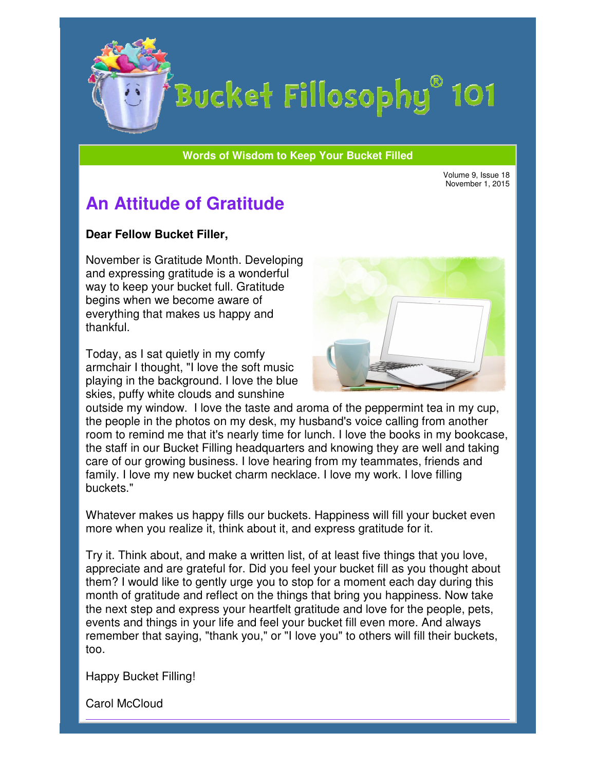

## Bucket Fillosophy<sup>®</sup> 101

**Words of Wisdom to Keep Your Bucket Filled Wisdom** 

Volume 9, Issue 18 November 1, 2015

## **An Attitude of Gratitude**

## **Dear Fellow Bucket Filler Filler,**

November is Gratitude Month. Developing and expressing gratitude is a wonderful way to keep your bucket full. Gratitude begins when we become aware of everything that makes us happy and thankful. begins when we become aware of<br>everything that makes us happy an<br>thankful.<br>Today, as I sat quietly in my comfy ember is Gratitude Month. Develop<br>expressing gratitude is a wonderful<br>to keep your bucket full. Gratitude

armchair I thought, "I love the s soft music playing in the background. I love the blue skies, puffy white clouds and sunshine



outside my window. I love the taste and aroma of the peppermint tea in my cup, the people in the photos on my desk, my husband's voice calling from another room to remind me that it's nearly time for lunch. I love the books in my bookcase, the staff in our Bucket Filling headquarters and knowing they are well and taking care of our growing business. I love hearing from my teammates, friends and family. I love my new bucket charm necklace. I love my work. I love filling buckets." people in the photos on my desk, my husband's voice calling from another<br>m to remind me that it's nearly time for lunch. I love the books in my bookc;<br>staff in our Bucket Filling headquarters and knowing they are well and

Whatever makes us happy fills our buckets. Happiness will fill your bucket even more when you realize it, think about it, and express gratitude for it.

Try it. Think about, and make a written list, of at least five things that you love, appreciate and are grateful for. Did you feel your bucket fill as you thought about appreciate and are grateful for. Did you feel your bucket fill as you thought about<br>them? I would like to gently urge you to stop for a moment each day during this month of gratitude and reflect on the things that bring you happiness. Now take the next step and express your heartfelt gratitude and love for the people, pets, events and things in your life and feel your bucket fill even more. And always events and things in your life and feel your bucket fill even more. And always<br>remember that saying, "thank you," or "I love you" to others will fill their buckets, too. ritten list, of at least five things that you love,<br>id you feel your bucket fill as you thought abou<br>you to stop for a moment each day during this<br>the things that bring you happiness. Now take

Happy Bucket Filling!

Carol McCloud